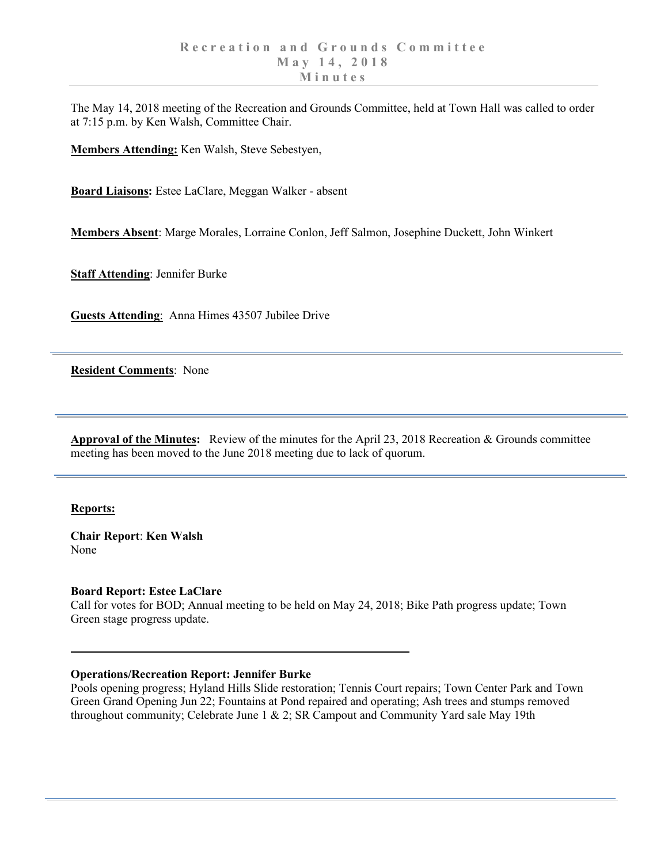The May 14, 2018 meeting of the Recreation and Grounds Committee, held at Town Hall was called to order at 7:15 p.m. by Ken Walsh, Committee Chair.

**Members Attending:** Ken Walsh, Steve Sebestyen,

**Board Liaisons:** Estee LaClare, Meggan Walker - absent

**Members Absent**: Marge Morales, Lorraine Conlon, Jeff Salmon, Josephine Duckett, John Winkert

**Staff Attending**: Jennifer Burke

**Guests Attending**: Anna Himes 43507 Jubilee Drive

**Resident Comments**: None

**Approval of the Minutes:** Review of the minutes for the April 23, 2018 Recreation & Grounds committee meeting has been moved to the June 2018 meeting due to lack of quorum.

## **Reports:**

**Chair Report**: **Ken Walsh** None

**Board Report: Estee LaClare** 

Call for votes for BOD; Annual meeting to be held on May 24, 2018; Bike Path progress update; Town Green stage progress update.

## **Operations/Recreation Report: Jennifer Burke**

Pools opening progress; Hyland Hills Slide restoration; Tennis Court repairs; Town Center Park and Town Green Grand Opening Jun 22; Fountains at Pond repaired and operating; Ash trees and stumps removed throughout community; Celebrate June  $1 \& 2$ ; SR Campout and Community Yard sale May 19th